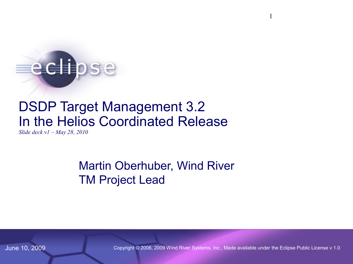# edlipse

# DSDP Target Management 3.2 In the Helios Coordinated Release

*Slide deck v1 – May 28, 2010*

#### Martin Oberhuber, Wind River TM Project Lead

June 10, 2009 Copyright © 2006, 2009 Wind River Systems, Inc., Made available under the Eclipse Public License v 1.0

1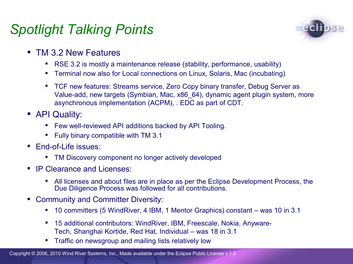# *Spotlight Talking Points*



- **TM 3.2 New Features** 
	- RSE 3.2 is mostly a maintenance release (stability, performance, usability)
	- Terminal now also for Local connections on Linux, Solaris, Mac (incubating)
	- **TCF new features: Streams service, Zero Copy binary transfer, Debug Server as** Value-add, new targets (Symbian, Mac, x86\_64), dynamic agent plugin system, more asynchronous implementation (ACPM), . EDC as part of CDT.
- **API Quality:** 
	- **Few well-reviewed API additions backed by API Tooling.**
	- Fully binary compatible with TM 3.1
- **End-of-Life issues:** 
	- TM Discovery component no longer actively developed
- **IP Clearance and Licenses:** 
	- All licenses and about files are in place as per the Eclipse Development Process, the Due Diligence Process was followed for all contributions.
- Community and Committer Diversity:
	- 10 committers (5 WindRiver, 4 IBM, 1 Mentor Graphics) constant was 10 in 3.1
	- 15 additional contributors: WindRiver, IBM, Freescale, Nokia, Anyware-Tech, Shanghai Kortide, Red Hat, Individual – was 18 in 3.1
	- Traffic on newsgroup and mailing lists relatively low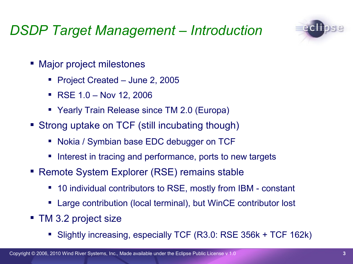# *DSDP Target Management – Introduction*

- Major project milestones
	- Project Created June 2, 2005
	- RSE 1.0 Nov 12, 2006
	- Yearly Train Release since TM 2.0 (Europa)
- Strong uptake on TCF (still incubating though)
	- Nokia / Symbian base EDC debugger on TCF
	- Interest in tracing and performance, ports to new targets
- Remote System Explorer (RSE) remains stable
	- 10 individual contributors to RSE, mostly from IBM constant
	- Large contribution (local terminal), but WinCE contributor lost
- **TM 3.2 project size** 
	- Slightly increasing, especially TCF (R3.0: RSE 356k + TCF 162k)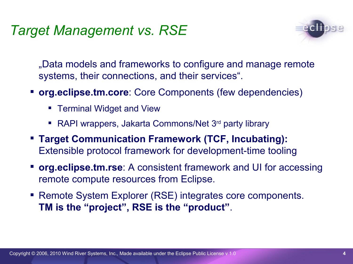# *Target Management vs. RSE*



"Data models and frameworks to configure and manage remote systems, their connections, and their services".

- **org.eclipse.tm.core**: Core Components (few dependencies)
	- **Terminal Widget and View**
	- RAPI wrappers, Jakarta Commons/Net 3<sup>rd</sup> party library
- **Target Communication Framework (TCF, Incubating):** Extensible protocol framework for development-time tooling
- **org.eclipse.tm.rse**: A consistent framework and UI for accessing remote compute resources from Eclipse.
- Remote System Explorer (RSE) integrates core components. **TM is the "project", RSE is the "product"**.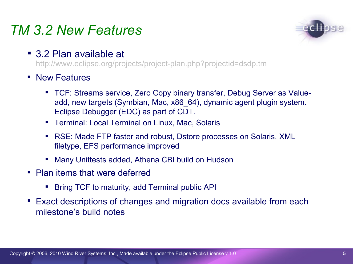## *TM 3.2 New Features*



■ 3.2 Plan available at

http://www.eclipse.org/projects/project-plan.php?projectid=dsdp.tm

- **New Features** 
	- TCF: Streams service, Zero Copy binary transfer, Debug Server as Valueadd, new targets (Symbian, Mac, x86\_64), dynamic agent plugin system. Eclipse Debugger (EDC) as part of CDT.
	- **Terminal: Local Terminal on Linux, Mac, Solaris**
	- RSE: Made FTP faster and robust, Dstore processes on Solaris, XML filetype, EFS performance improved
	- Many Unittests added, Athena CBI build on Hudson
- Plan items that were deferred
	- Bring TCF to maturity, add Terminal public API
- Exact descriptions of changes and migration docs available from each milestone's build notes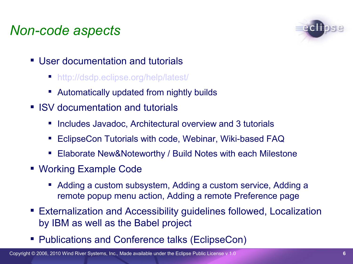# *Non-code aspects*



- User documentation and tutorials
	- [http://dsdp.eclipse.org/help/latest/](http://www.eclipse.org/dsdp/tm/development/tm_project_plan_2_0.html)
	- Automatically updated from nightly builds
- **ISV** documentation and tutorials
	- **Includes Javadoc, Architectural overview and 3 tutorials**
	- EclipseCon Tutorials with code, Webinar, Wiki-based FAQ
	- Elaborate New&Noteworthy / Build Notes with each Milestone
- Working Example Code
	- Adding a custom subsystem, Adding a custom service, Adding a remote popup menu action, Adding a remote Preference page
- Externalization and Accessibility guidelines followed, Localization by IBM as well as the Babel project
- **Publications and Conference talks (EclipseCon)**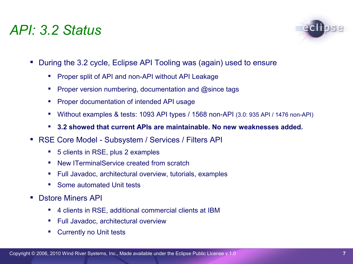#### *API: 3.2 Status*



- During the 3.2 cycle, Eclipse API Tooling was (again) used to ensure
	- **Proper split of API and non-API without API Leakage**
	- **Proper version numbering, documentation and @since tags**
	- **Proper documentation of intended API usage**
	- Without examples & tests: 1093 API types / 1568 non-API (3.0: 935 API / 1476 non-API)
	- **3.2 showed that current APIs are maintainable. No new weaknesses added.**
- RSE Core Model Subsystem / Services / Filters API
	- 5 clients in RSE, plus 2 examples
	- New ITerminalService created from scratch
	- Full Javadoc, architectural overview, tutorials, examples
	- Some automated Unit tests
- **Distore Miners API** 
	- 4 clients in RSE, additional commercial clients at IBM
	- **Full Javadoc, architectural overview**
	- **•** Currently no Unit tests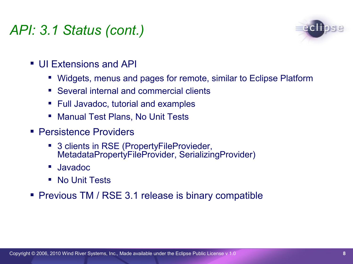# *API: 3.1 Status (cont.)*



- UI Extensions and API
	- Widgets, menus and pages for remote, similar to Eclipse Platform
	- Several internal and commercial clients
	- **Full Javadoc, tutorial and examples**
	- **Manual Test Plans, No Unit Tests**
- **Persistence Providers** 
	- 3 clients in RSE (PropertyFileProvieder, MetadataPropertyFileProvider, SerializingProvider)
	- Javadoc
	- No Unit Tests
- **Previous TM / RSE 3.1 release is binary compatible**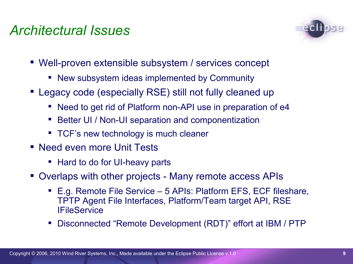## *Architectural Issues*



- Well-proven extensible subsystem / services concept
	- New subsystem ideas implemented by Community
- Legacy code (especially RSE) still not fully cleaned up
	- Need to get rid of Platform non-API use in preparation of e4
	- Better UI / Non-UI separation and componentization
	- **TCF's new technology is much cleaner**
- Need even more Unit Tests
	- Hard to do for UI-heavy parts
- Overlaps with other projects Many remote access APIs
	- E.g. Remote File Service 5 APIs: Platform EFS, ECF fileshare, TPTP Agent File Interfaces, Platform/Team target API, RSE **IFileService**
	- Disconnected "Remote Development (RDT)" effort at IBM / PTP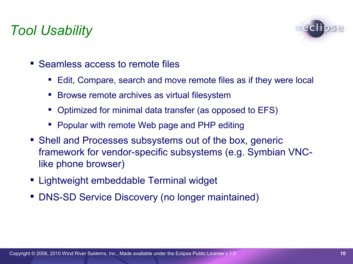# *Tool Usability*



- Seamless access to remote files
	- Edit, Compare, search and move remote files as if they were local
	- **Browse remote archives as virtual filesystem**
	- Optimized for minimal data transfer (as opposed to EFS)
	- **Popular with remote Web page and PHP editing**
- Shell and Processes subsystems out of the box, generic framework for vendor-specific subsystems (e.g. Symbian VNClike phone browser)
- Lightweight embeddable Terminal widget
- **DNS-SD Service Discovery (no longer maintained)**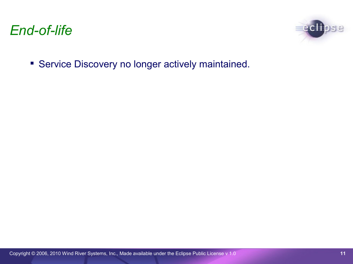



**Service Discovery no longer actively maintained.**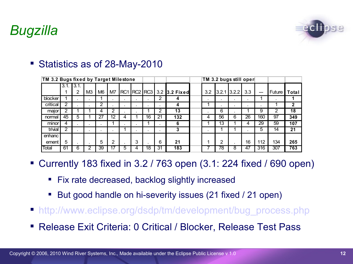# *Bugzilla*



#### Statistics as of 28-May-2010

| TM 3.2 Bugs fixed by Target Milestone |      |       |                |                |    |   |             |    |    |               | TM 3.2 bugs still open |    |               |     |     |          |              |  |
|---------------------------------------|------|-------|----------------|----------------|----|---|-------------|----|----|---------------|------------------------|----|---------------|-----|-----|----------|--------------|--|
|                                       | 3.1. | 13.1. |                |                |    |   |             |    |    |               |                        |    |               |     |     |          |              |  |
|                                       |      | 2     | M <sub>3</sub> | M <sub>6</sub> | M7 |   | RC1 RC2 RC3 |    |    | 3.2 3.2 Fixed | 3.2                    |    | $3.2.1$ 3.2.2 | 3.3 |     | Future l | Total        |  |
| blocker                               |      |       |                |                |    |   |             |    | 2  |               |                        |    |               |     |     |          |              |  |
| critical                              | 2    |       |                | ົ              |    |   |             |    |    |               |                        |    |               |     |     |          | $\mathbf{2}$ |  |
| major                                 | 2    |       |                |                | 2  |   |             |    | າ  | 13            |                        | 6  |               |     | 9   | ົ        | 18           |  |
| normal                                | 45   | 5     |                | 27             | 12 | 4 |             | 16 | 21 | 132           | 4                      | 56 | 6             | 26  | 160 | 97       | 349          |  |
| minor                                 | 4    | ٠     |                | ٠              |    |   |             |    |    | n             |                        | 13 |               |     | 29  | 59       | 107          |  |
| trivial                               | 2    |       |                |                |    |   |             |    |    |               |                        |    |               |     | 5   | 14       | 21           |  |
| enhanc                                |      |       |                |                |    |   |             |    |    |               |                        |    |               |     |     |          |              |  |
| ement                                 | 5    | ٠     |                | 5              | 2  |   | 3           |    | 6  | 21            |                        | 2  |               | 16  | 112 | 134      | 265          |  |
| Total                                 | 61   | 6     |                | 39             |    | 5 |             | 18 | 31 | 183           |                        | 78 | 8             | 4,  | 316 | 307      | 763          |  |

- Currently 183 fixed in 3.2 / 763 open (3.1: 224 fixed / 690 open)
	- **Fix rate decreased, backlog slightly increased**
	- But good handle on hi-severity issues (21 fixed / 21 open)
- [http://www.eclipse.org/dsdp/tm/development/bug\\_process.](http://www.eclipse.org/org/press-release/20070403embedded.php)[php](http://www.eclipsecon.org/2007/index.php?page=sub/&id=3651)
- Release Exit Criteria: 0 Critical / Blocker, Release Test Pass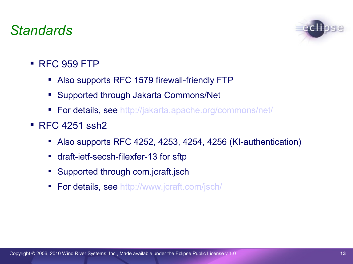### *Standards*



- $RFC 959 FTP$ 
	- Also supports RFC 1579 firewall-friendly FTP
	- Supported through Jakarta Commons/Net
	- **For details, see [http://jakarta.apache.org/commons/net/](http://live.eclipse.org/node/229)**
- **RFC 4251 ssh2** 
	- Also supports RFC 4252, 4253, 4254, 4256 (KI-authentication)
	- draft-ietf-secsh-filexfer-13 for sftp
	- **Supported through com.jcraft.jsch**
	- **For details, see [http://www.](http://wiki.eclipse.org/index.php/TM_Future_Planning)[jcraft](http://wiki.eclipse.org/index.php/TM_3.0_Testing)[.com/](http://www.eclipse.org/projects/project-plan.php?projectid=dsdp.tm)[jsch](http://wiki.eclipse.org/TM_Future_Planning)[/](http://www.eclipse.org/dsdp/tm/development/tm_project_plan_3_0.html)**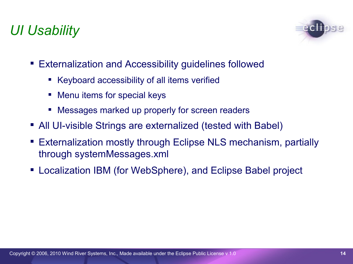# *UI Usability*



- Externalization and Accessibility guidelines followed
	- Keyboard accessibility of all items verified
	- **Menu items for special keys**
	- Messages marked up properly for screen readers
- All UI-visible Strings are externalized (tested with Babel)
- Externalization mostly through Eclipse NLS mechanism, partially through systemMessages.xml
- Localization IBM (for WebSphere), and Eclipse Babel project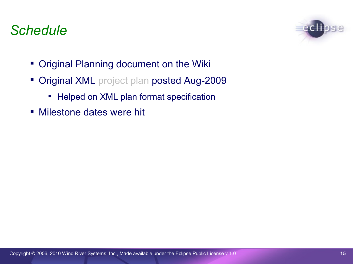#### *Schedule*



- **Original Planning document on the Wiki**
- **Original XML** project plan posted Aug-2009
	- **-** Helped on XML plan format specification
- Milestone dates were hit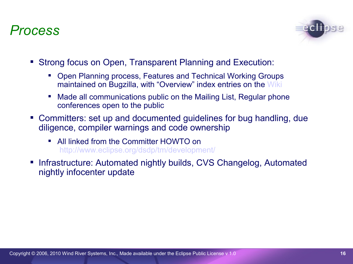#### *Process*



- Strong focus on Open, Transparent Planning and Execution:
	- Open Planning process, Features and Technical Working Groups maintained on Bugzilla, with "Overview" index entries on the [Wiki](http://wiki.eclipse.org/index.php/TM_3.0_Testing)
	- Made all communications public on the Mailing List, Regular phone conferences open to the public
- Committers: set up and documented guidelines for bug handling, due diligence, compiler warnings and code ownership
	- All linked from the Committer HOWTO on [http://www.eclipse.org/](http://www.eclipsecon.org/2008/?page=sub/&id=38)[dsdp](http://www.eclipsecon.org/summiteurope2007/index.php?page=detail/&id=21)[/tm/development/](http://wiki.eclipse.org/DSDP/TM/TCF_FAQ)
- **Infrastructure: Automated nightly builds, CVS Changelog, Automated** nightly infocenter update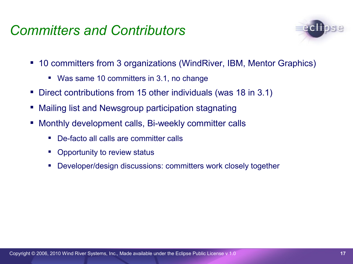#### *Committers and Contributors*



- 10 committers from 3 organizations (WindRiver, IBM, Mentor Graphics)
	- Was same 10 committers in 3.1, no change
- Direct contributions from 15 other individuals (was 18 in 3.1)
- Mailing list and Newsgroup participation stagnating
- **Monthly development calls, Bi-weekly committer calls** 
	- De-facto all calls are committer calls
	- **•** Opportunity to review status
	- Developer/design discussions: committers work closely together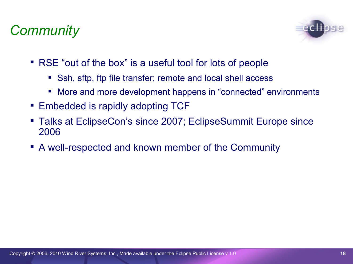# *Community*



- RSE "out of the box" is a useful tool for lots of people
	- Ssh, sftp, ftp file transfer; remote and local shell access
	- More and more development happens in "connected" environments
- Embedded is rapidly adopting TCF
- Talks at EclipseCon's since 2007; EclipseSummit Europe since 2006
- A well-respected and known member of the Community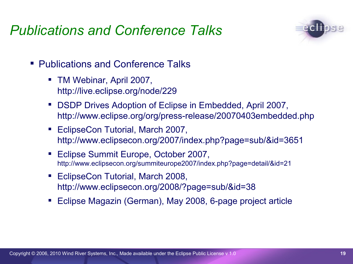# *Publications and Conference Talks*



- Publications and Conference Talks
	- TM Webinar, April 2007, http://live.eclipse.org/node/229
	- DSDP Drives Adoption of Eclipse in Embedded, April 2007, http://www.eclipse.org/org/press-release/20070403embedded.php
	- EclipseCon Tutorial, March 2007, http://www.eclipsecon.org/2007/index.php?page=sub/&id=3651
	- Eclipse Summit Europe, October 2007, http://www.eclipsecon.org/summiteurope2007/index.php?page=detail/&id=21
	- **EclipseCon Tutorial, March 2008,** http://www.eclipsecon.org/2008/?page=sub/&id=38
	- Eclipse Magazin (German), May 2008, 6-page project article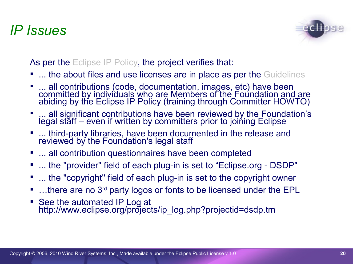#### *IP Issues*



As per the Eclipse IP Policy, the project verifies that:

- ... the about files and use licenses are in place as per the Guidelines
- ... all contributions (code, documentation, images, etc) have been committed by individuals who are Members of the Foundation and are abiding by the Eclipse IP Policy (training through Committer HOWTO)
- ... all significant contributions have been reviewed by the Foundation's legal staff – even if written by committers prior to joining Eclipse
- **.... third-party libraries, have been documented in the release and** reviewed by the Foundation's legal staff
- **... all contribution questionnaires have been completed**
- ... the "provider" field of each plug-in is set to "Eclipse.org DSDP"
- ... the "copyright" field of each plug-in is set to the copyright owner
- $\blacksquare$  ... there are no 3<sup>rd</sup> party logos or fonts to be licensed under the EPL
- See the automated IP Log at http://www.eclipse.org/projects/ip\_log.php?projectid=dsdp.tm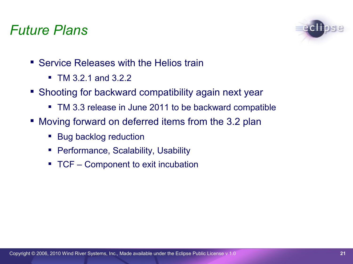#### *Future Plans*



- Service Releases with the Helios train
	- $\blacksquare$  TM 3.2.1 and 3.2.2
- Shooting for backward compatibility again next year
	- **TM 3.3 release in June 2011 to be backward compatible**
- Moving forward on deferred items from the 3.2 plan
	- Bug backlog reduction
	- **Performance, Scalability, Usability**
	- **TCF** Component to exit incubation